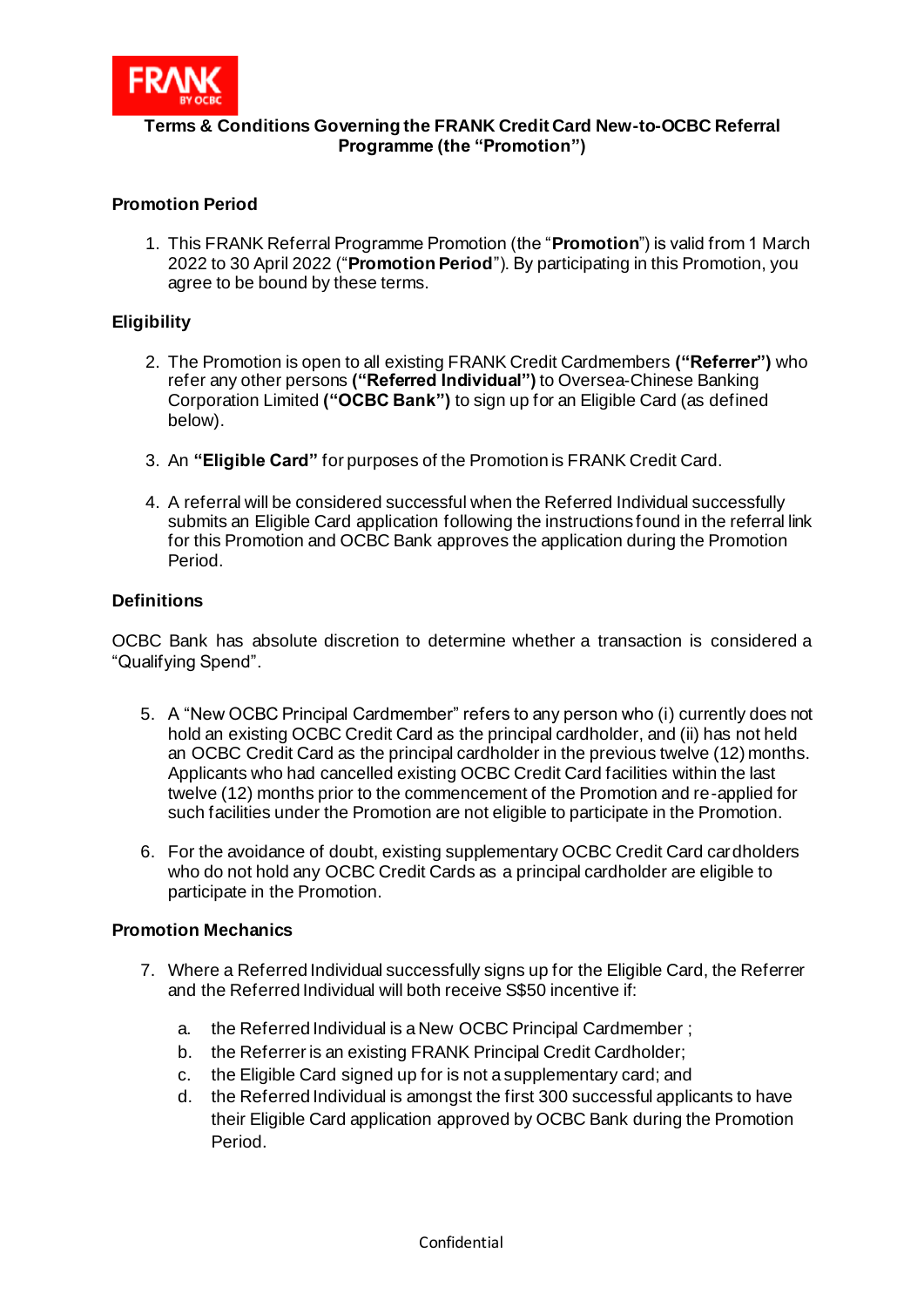

### **Terms & Conditions Governing the FRANK Credit Card New-to-OCBC Referral Programme (the "Promotion")**

# **Promotion Period**

1. This FRANK Referral Programme Promotion (the "**Promotion**") is valid from 1 March 2022 to 30 April 2022 ("**Promotion Period**"). By participating in this Promotion, you agree to be bound by these terms.

#### **Eligibility**

- 2. The Promotion is open to all existing FRANK Credit Cardmembers **("Referrer")** who refer any other persons **("Referred Individual")** to Oversea-Chinese Banking Corporation Limited **("OCBC Bank")** to sign up for an Eligible Card (as defined below).
- 3. An **"Eligible Card"** for purposes of the Promotion is FRANK Credit Card.
- 4. A referral will be considered successful when the Referred Individual successfully submits an Eligible Card application following the instructions found in the referral link for this Promotion and OCBC Bank approves the application during the Promotion Period.

#### **Definitions**

OCBC Bank has absolute discretion to determine whether a transaction is considered a "Qualifying Spend".

- 5. A "New OCBC Principal Cardmember" refers to any person who (i) currently does not hold an existing OCBC Credit Card as the principal cardholder, and (ii) has not held an OCBC Credit Card as the principal cardholder in the previous twelve (12) months. Applicants who had cancelled existing OCBC Credit Card facilities within the last twelve (12) months prior to the commencement of the Promotion and re-applied for such facilities under the Promotion are not eligible to participate in the Promotion.
- 6. For the avoidance of doubt, existing supplementary OCBC Credit Card cardholders who do not hold any OCBC Credit Cards as a principal cardholder are eligible to participate in the Promotion.

#### **Promotion Mechanics**

- 7. Where a Referred Individual successfully signs up for the Eligible Card, the Referrer and the Referred Individual will both receive S\$50 incentive if:
	- a. the Referred Individual is a New OCBC Principal Cardmember ;
	- b. the Referrer is an existing FRANK Principal Credit Cardholder;
	- c. the Eligible Card signed up for is not a supplementary card; and
	- d. the Referred Individual is amongst the first 300 successful applicants to have their Eligible Card application approved by OCBC Bank during the Promotion Period.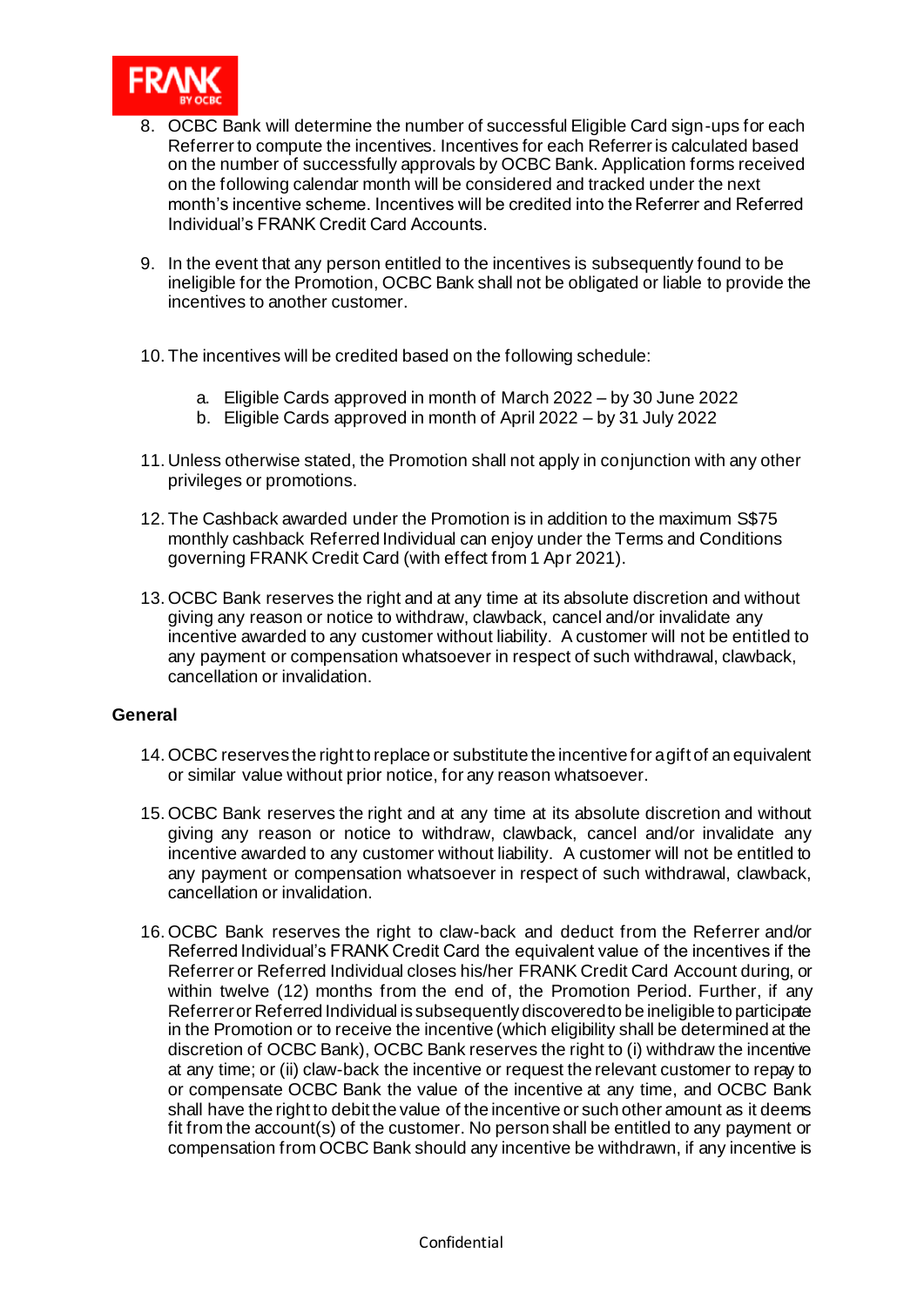

- 8. OCBC Bank will determine the number of successful Eligible Card sign-ups for each Referrer to compute the incentives. Incentives for each Referrer is calculated based on the number of successfully approvals by OCBC Bank. Application forms received on the following calendar month will be considered and tracked under the next month's incentive scheme. Incentives will be credited into the Referrer and Referred Individual's FRANK Credit Card Accounts.
- 9. In the event that any person entitled to the incentives is subsequently found to be ineligible for the Promotion, OCBC Bank shall not be obligated or liable to provide the incentives to another customer.
- 10. The incentives will be credited based on the following schedule:
	- a. Eligible Cards approved in month of March 2022 by 30 June 2022
	- b. Eligible Cards approved in month of April 2022 by 31 July 2022
- 11. Unless otherwise stated, the Promotion shall not apply in conjunction with any other privileges or promotions.
- 12. The Cashback awarded under the Promotion is in addition to the maximum S\$75 monthly cashback Referred Individual can enjoy under the Terms and Conditions governing FRANK Credit Card (with effect from 1 Apr 2021).
- 13.OCBC Bank reserves the right and at any time at its absolute discretion and without giving any reason or notice to withdraw, clawback, cancel and/or invalidate any incentive awarded to any customer without liability. A customer will not be entitled to any payment or compensation whatsoever in respect of such withdrawal, clawback, cancellation or invalidation.

#### **General**

- 14.OCBC reserves the right to replace or substitute the incentive for a gift of an equivalent or similar value without prior notice, for any reason whatsoever.
- 15.OCBC Bank reserves the right and at any time at its absolute discretion and without giving any reason or notice to withdraw, clawback, cancel and/or invalidate any incentive awarded to any customer without liability. A customer will not be entitled to any payment or compensation whatsoever in respect of such withdrawal, clawback, cancellation or invalidation.
- 16.OCBC Bank reserves the right to claw-back and deduct from the Referrer and/or Referred Individual's FRANK Credit Card the equivalent value of the incentives if the Referrer or Referred Individual closes his/her FRANK Credit Card Account during, or within twelve (12) months from the end of, the Promotion Period. Further, if any Referrer or Referred Individual is subsequently discovered to be ineligible to participate in the Promotion or to receive the incentive (which eligibility shall be determined at the discretion of OCBC Bank), OCBC Bank reserves the right to (i) withdraw the incentive at any time; or (ii) claw-back the incentive or request the relevant customer to repay to or compensate OCBC Bank the value of the incentive at any time, and OCBC Bank shall have the right to debit the value of the incentive or such other amount as it deems fit from the account(s) of the customer. No person shall be entitled to any payment or compensation from OCBC Bank should any incentive be withdrawn, if any incentive is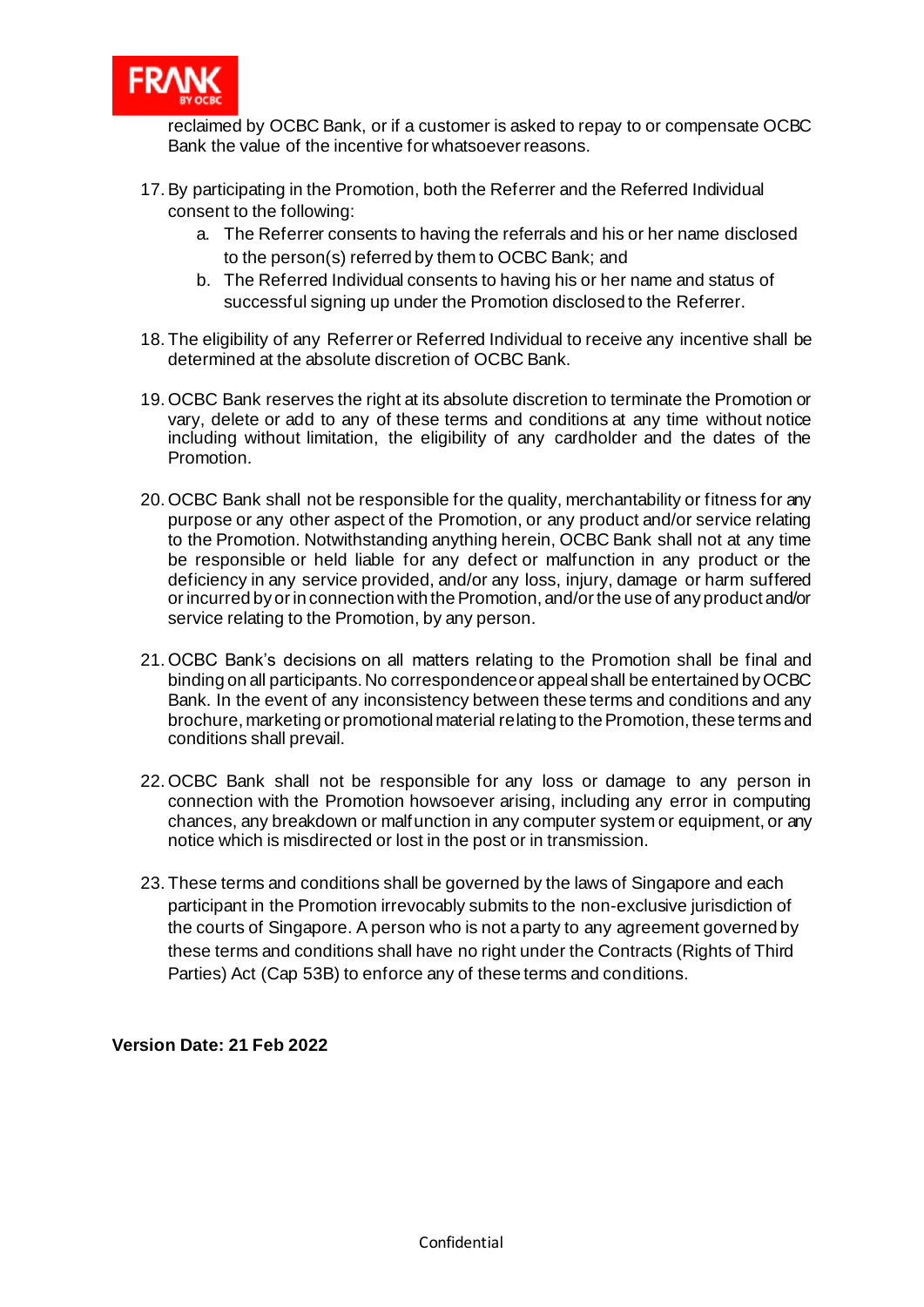

reclaimed by OCBC Bank, or if a customer is asked to repay to or compensate OCBC Bank the value of the incentive for whatsoever reasons.

- 17.By participating in the Promotion, both the Referrer and the Referred Individual consent to the following:
	- a. The Referrer consents to having the referrals and his or her name disclosed to the person(s) referred by them to OCBC Bank; and
	- b. The Referred Individual consents to having his or her name and status of successful signing up under the Promotion disclosed to the Referrer.
- 18. The eligibility of any Referrer or Referred Individual to receive any incentive shall be determined at the absolute discretion of OCBC Bank.
- 19.OCBC Bank reserves the right at its absolute discretion to terminate the Promotion or vary, delete or add to any of these terms and conditions at any time without notice including without limitation, the eligibility of any cardholder and the dates of the Promotion.
- 20.OCBC Bank shall not be responsible for the quality, merchantability or fitness for any purpose or any other aspect of the Promotion, or any product and/or service relating to the Promotion. Notwithstanding anything herein, OCBC Bank shall not at any time be responsible or held liable for any defect or malfunction in any product or the deficiency in any service provided, and/or any loss, injury, damage or harm suffered or incurred by or in connection with the Promotion, and/or the use of any product and/or service relating to the Promotion, by any person.
- 21.OCBC Bank's decisions on all matters relating to the Promotion shall be final and binding on all participants. No correspondence or appeal shall be entertained by OCBC Bank. In the event of any inconsistency between these terms and conditions and any brochure, marketing or promotional material relating to the Promotion, these terms and conditions shall prevail.
- 22.OCBC Bank shall not be responsible for any loss or damage to any person in connection with the Promotion howsoever arising, including any error in computing chances, any breakdown or malfunction in any computer system or equipment, or any notice which is misdirected or lost in the post or in transmission.
- 23. These terms and conditions shall be governed by the laws of Singapore and each participant in the Promotion irrevocably submits to the non-exclusive jurisdiction of the courts of Singapore. A person who is not a party to any agreement governed by these terms and conditions shall have no right under the Contracts (Rights of Third Parties) Act (Cap 53B) to enforce any of these terms and conditions.

**Version Date: 21 Feb 2022**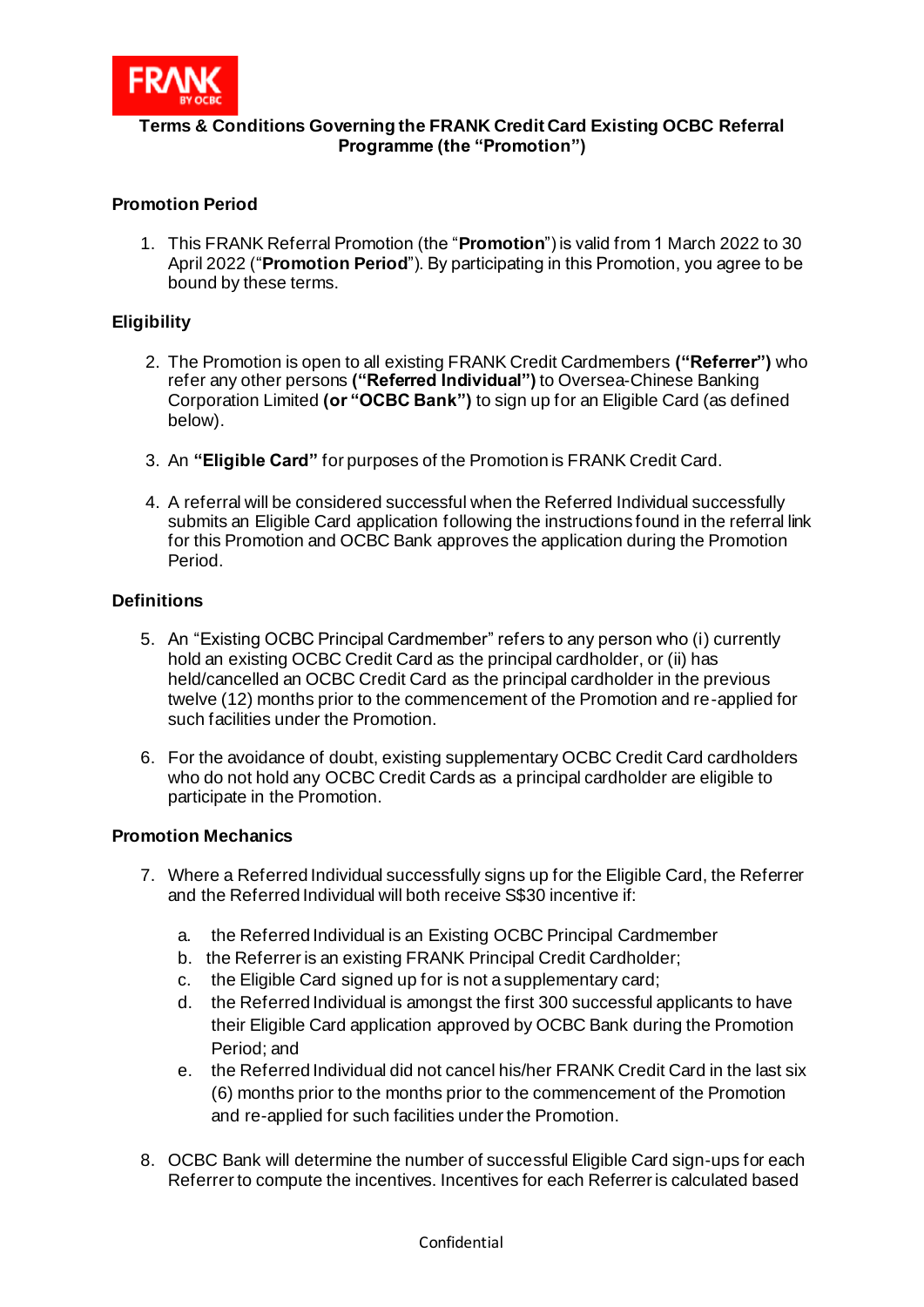

## **Terms & Conditions Governing the FRANK Credit Card Existing OCBC Referral Programme (the "Promotion")**

## **Promotion Period**

1. This FRANK Referral Promotion (the "**Promotion**") is valid from 1 March 2022 to 30 April 2022 ("**Promotion Period**"). By participating in this Promotion, you agree to be bound by these terms.

#### **Eligibility**

- 2. The Promotion is open to all existing FRANK Credit Cardmembers **("Referrer")** who refer any other persons **("Referred Individual")** to Oversea-Chinese Banking Corporation Limited **(or "OCBC Bank")** to sign up for an Eligible Card (as defined below).
- 3. An **"Eligible Card"** for purposes of the Promotion is FRANK Credit Card.
- 4. A referral will be considered successful when the Referred Individual successfully submits an Eligible Card application following the instructions found in the referral link for this Promotion and OCBC Bank approves the application during the Promotion Period.

#### **Definitions**

- 5. An "Existing OCBC Principal Cardmember" refers to any person who (i) currently hold an existing OCBC Credit Card as the principal cardholder, or (ii) has held/cancelled an OCBC Credit Card as the principal cardholder in the previous twelve (12) months prior to the commencement of the Promotion and re-applied for such facilities under the Promotion.
- 6. For the avoidance of doubt, existing supplementary OCBC Credit Card cardholders who do not hold any OCBC Credit Cards as a principal cardholder are eligible to participate in the Promotion.

#### **Promotion Mechanics**

- 7. Where a Referred Individual successfully signs up for the Eligible Card, the Referrer and the Referred Individual will both receive S\$30 incentive if:
	- a. the Referred Individual is an Existing OCBC Principal Cardmember
	- b. the Referrer is an existing FRANK Principal Credit Cardholder;
	- c. the Eligible Card signed up for is not a supplementary card;
	- d. the Referred Individual is amongst the first 300 successful applicants to have their Eligible Card application approved by OCBC Bank during the Promotion Period; and
	- e. the Referred Individual did not cancel his/her FRANK Credit Card in the last six (6) months prior to the months prior to the commencement of the Promotion and re-applied for such facilities under the Promotion.
- 8. OCBC Bank will determine the number of successful Eligible Card sign-ups for each Referrer to compute the incentives. Incentives for each Referrer is calculated based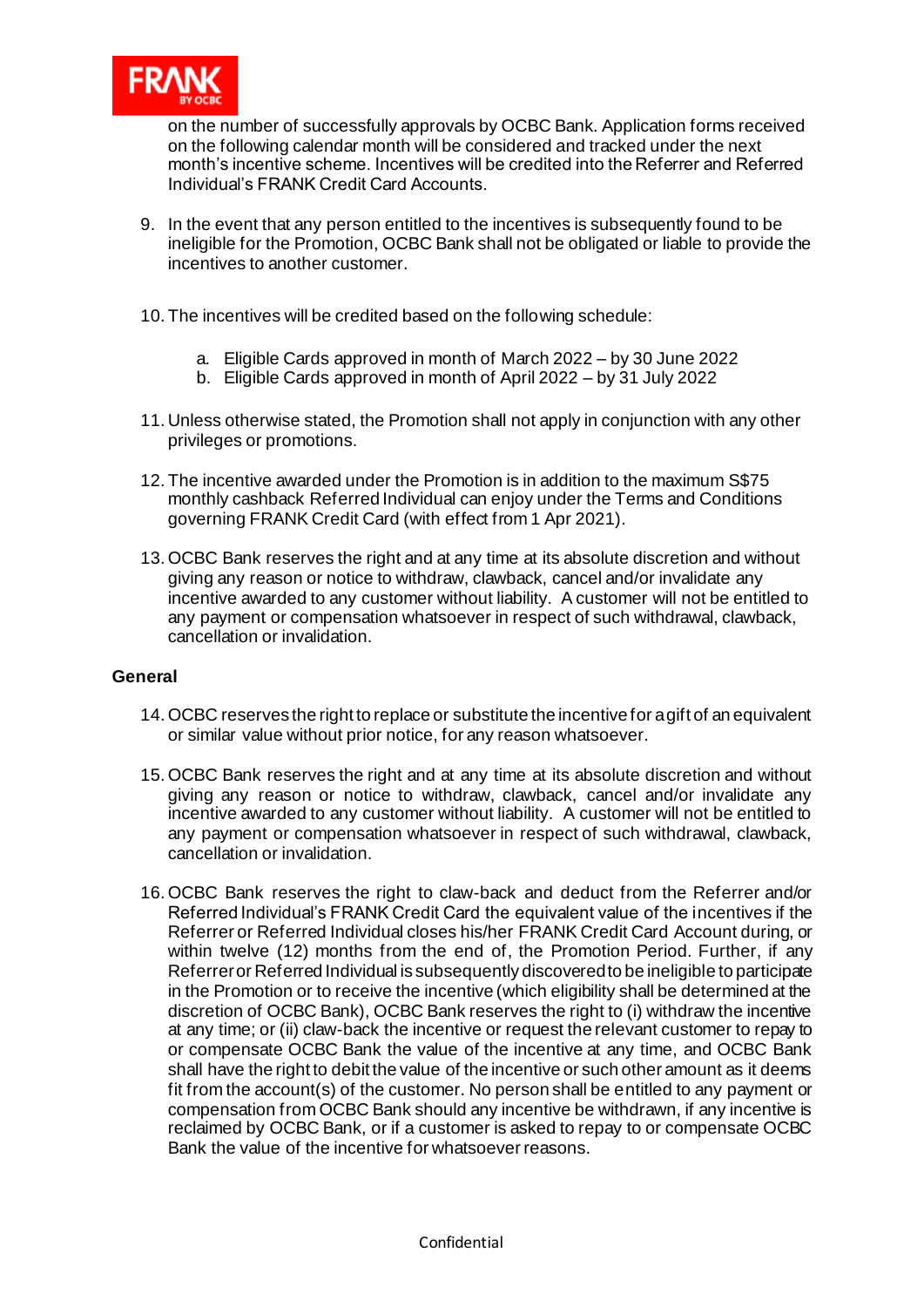

on the number of successfully approvals by OCBC Bank. Application forms received on the following calendar month will be considered and tracked under the next month's incentive scheme. Incentives will be credited into the Referrer and Referred Individual's FRANK Credit Card Accounts.

- 9. In the event that any person entitled to the incentives is subsequently found to be ineligible for the Promotion, OCBC Bank shall not be obligated or liable to provide the incentives to another customer.
- 10. The incentives will be credited based on the following schedule:
	- a. Eligible Cards approved in month of March 2022 by 30 June 2022
	- b. Eligible Cards approved in month of April 2022 by 31 July 2022
- 11. Unless otherwise stated, the Promotion shall not apply in conjunction with any other privileges or promotions.
- 12. The incentive awarded under the Promotion is in addition to the maximum S\$75 monthly cashback Referred Individual can enjoy under the Terms and Conditions governing FRANK Credit Card (with effect from 1 Apr 2021).
- 13.OCBC Bank reserves the right and at any time at its absolute discretion and without giving any reason or notice to withdraw, clawback, cancel and/or invalidate any incentive awarded to any customer without liability. A customer will not be entitled to any payment or compensation whatsoever in respect of such withdrawal, clawback, cancellation or invalidation.

#### **General**

- 14.OCBC reserves the right to replace or substitute the incentive for a gift of an equivalent or similar value without prior notice, for any reason whatsoever.
- 15.OCBC Bank reserves the right and at any time at its absolute discretion and without giving any reason or notice to withdraw, clawback, cancel and/or invalidate any incentive awarded to any customer without liability. A customer will not be entitled to any payment or compensation whatsoever in respect of such withdrawal, clawback, cancellation or invalidation.
- 16.OCBC Bank reserves the right to claw-back and deduct from the Referrer and/or Referred Individual's FRANK Credit Card the equivalent value of the incentives if the Referrer or Referred Individual closes his/her FRANK Credit Card Account during, or within twelve (12) months from the end of, the Promotion Period. Further, if any Referrer or Referred Individual is subsequently discovered to be ineligible to participate in the Promotion or to receive the incentive (which eligibility shall be determined at the discretion of OCBC Bank), OCBC Bank reserves the right to (i) withdraw the incentive at any time; or (ii) claw-back the incentive or request the relevant customer to repay to or compensate OCBC Bank the value of the incentive at any time, and OCBC Bank shall have the right to debit the value of the incentive or such other amount as it deems fit from the account(s) of the customer. No person shall be entitled to any payment or compensation from OCBC Bank should any incentive be withdrawn, if any incentive is reclaimed by OCBC Bank, or if a customer is asked to repay to or compensate OCBC Bank the value of the incentive for whatsoever reasons.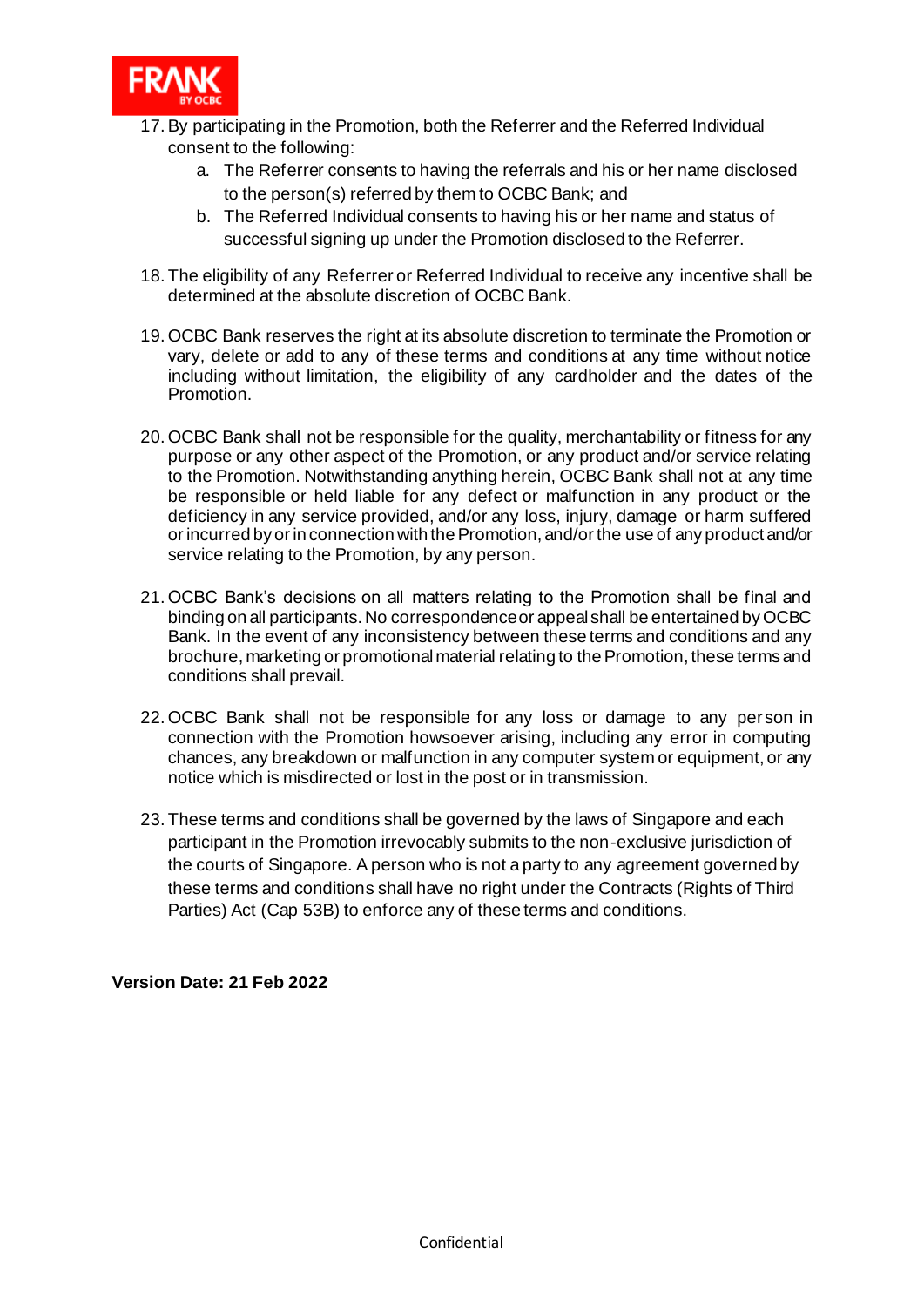

- 17.By participating in the Promotion, both the Referrer and the Referred Individual consent to the following:
	- a. The Referrer consents to having the referrals and his or her name disclosed to the person(s) referred by them to OCBC Bank; and
	- b. The Referred Individual consents to having his or her name and status of successful signing up under the Promotion disclosed to the Referrer.
- 18. The eligibility of any Referrer or Referred Individual to receive any incentive shall be determined at the absolute discretion of OCBC Bank.
- 19.OCBC Bank reserves the right at its absolute discretion to terminate the Promotion or vary, delete or add to any of these terms and conditions at any time without notice including without limitation, the eligibility of any cardholder and the dates of the Promotion.
- 20.OCBC Bank shall not be responsible for the quality, merchantability or fitness for any purpose or any other aspect of the Promotion, or any product and/or service relating to the Promotion. Notwithstanding anything herein, OCBC Bank shall not at any time be responsible or held liable for any defect or malfunction in any product or the deficiency in any service provided, and/or any loss, injury, damage or harm suffered or incurred by or in connection with the Promotion, and/or the use of any product and/or service relating to the Promotion, by any person.
- 21.OCBC Bank's decisions on all matters relating to the Promotion shall be final and binding on all participants. No correspondence or appeal shall be entertained by OCBC Bank. In the event of any inconsistency between these terms and conditions and any brochure, marketing or promotional material relating to the Promotion, these terms and conditions shall prevail.
- 22.OCBC Bank shall not be responsible for any loss or damage to any person in connection with the Promotion howsoever arising, including any error in computing chances, any breakdown or malfunction in any computer system or equipment, or any notice which is misdirected or lost in the post or in transmission.
- 23. These terms and conditions shall be governed by the laws of Singapore and each participant in the Promotion irrevocably submits to the non-exclusive jurisdiction of the courts of Singapore. A person who is not a party to any agreement governed by these terms and conditions shall have no right under the Contracts (Rights of Third Parties) Act (Cap 53B) to enforce any of these terms and conditions.

**Version Date: 21 Feb 2022**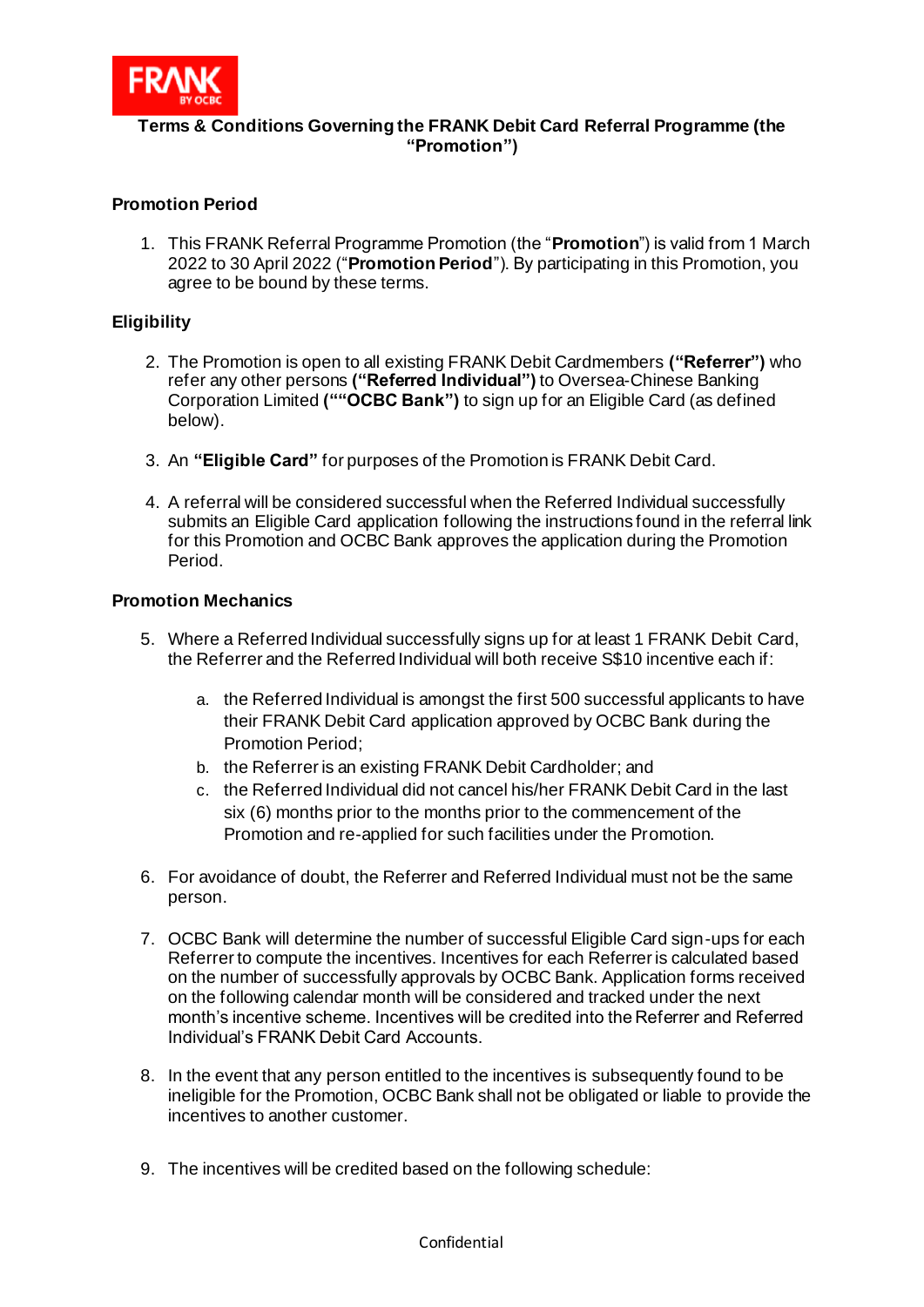

# **Terms & Conditions Governing the FRANK Debit Card Referral Programme (the "Promotion")**

## **Promotion Period**

1. This FRANK Referral Programme Promotion (the "**Promotion**") is valid from 1 March 2022 to 30 April 2022 ("**Promotion Period**"). By participating in this Promotion, you agree to be bound by these terms.

#### **Eligibility**

- 2. The Promotion is open to all existing FRANK Debit Cardmembers **("Referrer")** who refer any other persons **("Referred Individual")** to Oversea-Chinese Banking Corporation Limited **(""OCBC Bank")** to sign up for an Eligible Card (as defined below).
- 3. An **"Eligible Card"** for purposes of the Promotion is FRANK Debit Card.
- 4. A referral will be considered successful when the Referred Individual successfully submits an Eligible Card application following the instructions found in the referral link for this Promotion and OCBC Bank approves the application during the Promotion Period.

#### **Promotion Mechanics**

- 5. Where a Referred Individual successfully signs up for at least 1 FRANK Debit Card, the Referrer and the Referred Individual will both receive S\$10 incentive each if:
	- a. the Referred Individual is amongst the first 500 successful applicants to have their FRANK Debit Card application approved by OCBC Bank during the Promotion Period;
	- b. the Referrer is an existing FRANK Debit Cardholder; and
	- c. the Referred Individual did not cancel his/her FRANK Debit Card in the last six (6) months prior to the months prior to the commencement of the Promotion and re-applied for such facilities under the Promotion.
- 6. For avoidance of doubt, the Referrer and Referred Individual must not be the same person.
- 7. OCBC Bank will determine the number of successful Eligible Card sign-ups for each Referrer to compute the incentives. Incentives for each Referrer is calculated based on the number of successfully approvals by OCBC Bank. Application forms received on the following calendar month will be considered and tracked under the next month's incentive scheme. Incentives will be credited into the Referrer and Referred Individual's FRANK Debit Card Accounts.
- 8. In the event that any person entitled to the incentives is subsequently found to be ineligible for the Promotion, OCBC Bank shall not be obligated or liable to provide the incentives to another customer.
- 9. The incentives will be credited based on the following schedule: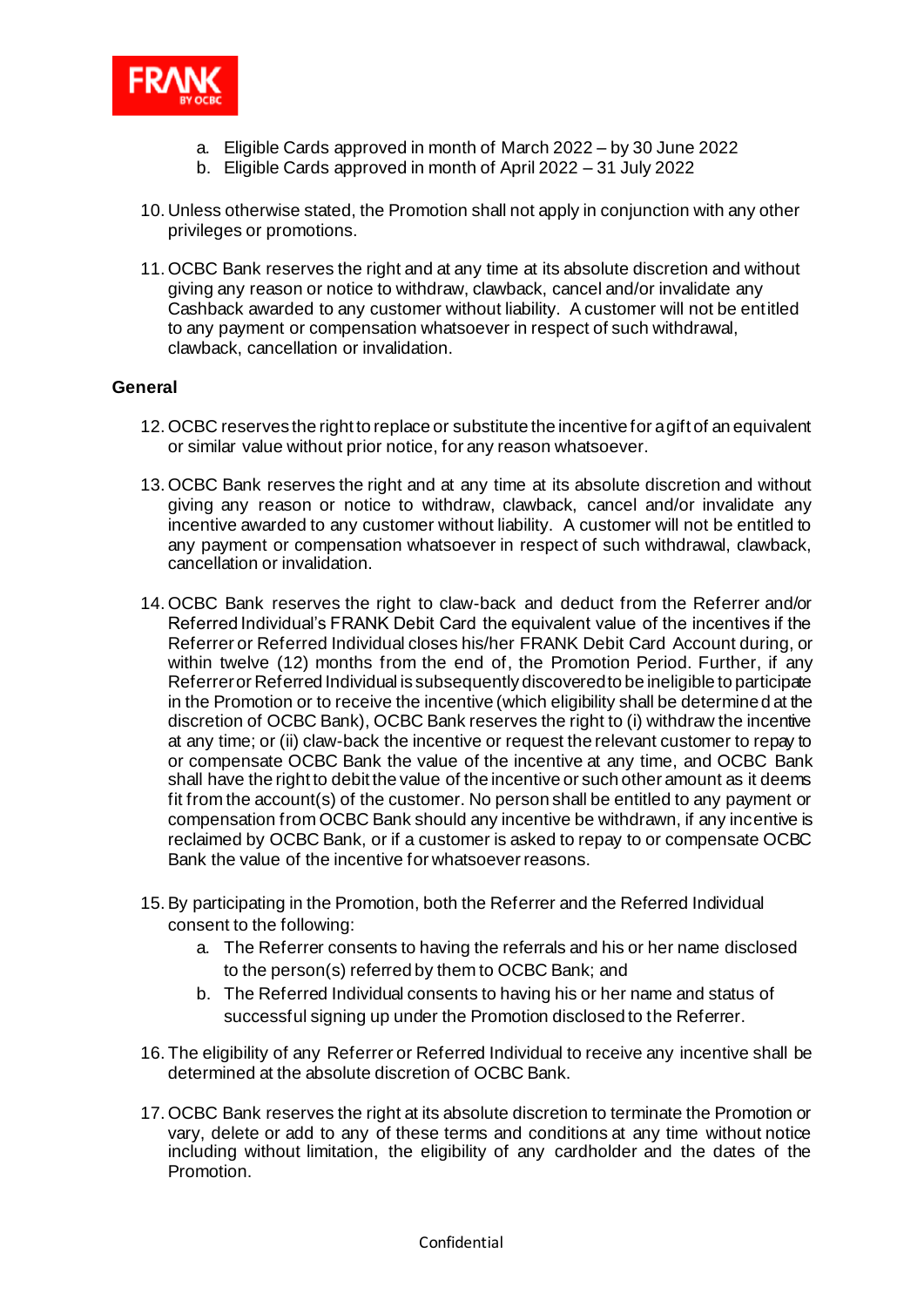

- a. Eligible Cards approved in month of March 2022 by 30 June 2022
- b. Eligible Cards approved in month of April 2022 31 July 2022
- 10. Unless otherwise stated, the Promotion shall not apply in conjunction with any other privileges or promotions.
- 11.OCBC Bank reserves the right and at any time at its absolute discretion and without giving any reason or notice to withdraw, clawback, cancel and/or invalidate any Cashback awarded to any customer without liability. A customer will not be entitled to any payment or compensation whatsoever in respect of such withdrawal, clawback, cancellation or invalidation.

### **General**

- 12.OCBC reserves the right to replace or substitute the incentive for a gift of an equivalent or similar value without prior notice, for any reason whatsoever.
- 13.OCBC Bank reserves the right and at any time at its absolute discretion and without giving any reason or notice to withdraw, clawback, cancel and/or invalidate any incentive awarded to any customer without liability. A customer will not be entitled to any payment or compensation whatsoever in respect of such withdrawal, clawback, cancellation or invalidation.
- 14.OCBC Bank reserves the right to claw-back and deduct from the Referrer and/or Referred Individual's FRANK Debit Card the equivalent value of the incentives if the Referrer or Referred Individual closes his/her FRANK Debit Card Account during, or within twelve (12) months from the end of, the Promotion Period. Further, if any Referrer or Referred Individual is subsequently discovered to be ineligible to participate in the Promotion or to receive the incentive (which eligibility shall be determined at the discretion of OCBC Bank), OCBC Bank reserves the right to (i) withdraw the incentive at any time; or (ii) claw-back the incentive or request the relevant customer to repay to or compensate OCBC Bank the value of the incentive at any time, and OCBC Bank shall have the right to debit the value of the incentive or such other amount as it deems fit from the account(s) of the customer. No person shall be entitled to any payment or compensation from OCBC Bank should any incentive be withdrawn, if any incentive is reclaimed by OCBC Bank, or if a customer is asked to repay to or compensate OCBC Bank the value of the incentive for whatsoever reasons.
- 15.By participating in the Promotion, both the Referrer and the Referred Individual consent to the following:
	- a. The Referrer consents to having the referrals and his or her name disclosed to the person(s) referred by them to OCBC Bank; and
	- b. The Referred Individual consents to having his or her name and status of successful signing up under the Promotion disclosed to the Referrer.
- 16. The eligibility of any Referrer or Referred Individual to receive any incentive shall be determined at the absolute discretion of OCBC Bank.
- 17.OCBC Bank reserves the right at its absolute discretion to terminate the Promotion or vary, delete or add to any of these terms and conditions at any time without notice including without limitation, the eligibility of any cardholder and the dates of the Promotion.